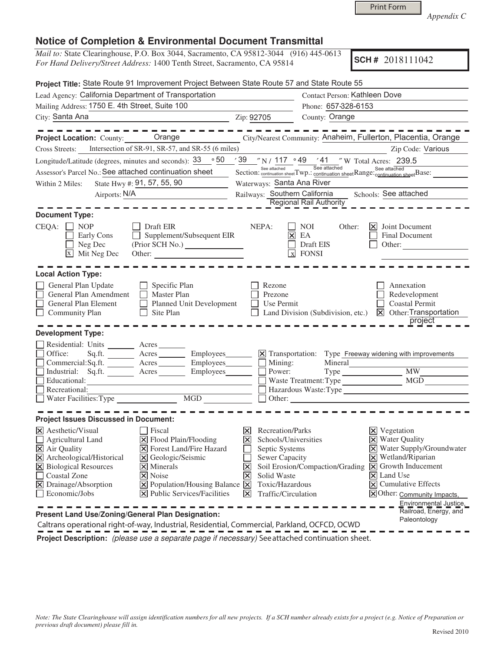*Appendix C* 

|  |  | <b>Notice of Completion &amp; Environmental Document Transmittal</b> |
|--|--|----------------------------------------------------------------------|
|--|--|----------------------------------------------------------------------|

*Mail to:* State Clearinghouse, P.O. Box 3044, Sacramento, CA 95812-3044 (916) 445-0613 *For Hand Delivery/Street Address:* 1400 Tenth Street, Sacramento, CA 95814

**SCH #** 2018111042

| Project Title: State Route 91 Improvement Project Between State Route 57 and State Route 55                                                                                                                                                                                                                                                                                                                                                                                                                                |                                                                           |                                                                                                                                       |                                                                                                              |                                                                                                                                                                                                                                                                                    |  |
|----------------------------------------------------------------------------------------------------------------------------------------------------------------------------------------------------------------------------------------------------------------------------------------------------------------------------------------------------------------------------------------------------------------------------------------------------------------------------------------------------------------------------|---------------------------------------------------------------------------|---------------------------------------------------------------------------------------------------------------------------------------|--------------------------------------------------------------------------------------------------------------|------------------------------------------------------------------------------------------------------------------------------------------------------------------------------------------------------------------------------------------------------------------------------------|--|
| Lead Agency: California Department of Transportation                                                                                                                                                                                                                                                                                                                                                                                                                                                                       |                                                                           |                                                                                                                                       | <b>Contact Person: Kathleen Dove</b>                                                                         |                                                                                                                                                                                                                                                                                    |  |
| Mailing Address: 1750 E. 4th Street, Suite 100                                                                                                                                                                                                                                                                                                                                                                                                                                                                             |                                                                           |                                                                                                                                       | Phone: 657-328-6153                                                                                          |                                                                                                                                                                                                                                                                                    |  |
| City: Santa Ana<br><u> 1980 - Johann Barn, mars eta bainar eta baina eta baina eta baina eta baina eta baina eta baina eta baina e</u>                                                                                                                                                                                                                                                                                                                                                                                     |                                                                           | Zip: 92705                                                                                                                            | County: Orange                                                                                               |                                                                                                                                                                                                                                                                                    |  |
| <b>Project Location: County: Orange</b>                                                                                                                                                                                                                                                                                                                                                                                                                                                                                    |                                                                           |                                                                                                                                       |                                                                                                              | City/Nearest Community: Anaheim, Fullerton, Placentia, Orange                                                                                                                                                                                                                      |  |
| Cross Streets: Intersection of SR-91, SR-57, and SR-55 (6 miles)                                                                                                                                                                                                                                                                                                                                                                                                                                                           |                                                                           |                                                                                                                                       |                                                                                                              | Zip Code: Various                                                                                                                                                                                                                                                                  |  |
| Longitude/Latitude (degrees, minutes and seconds): $33 \cdot 50$                                                                                                                                                                                                                                                                                                                                                                                                                                                           |                                                                           |                                                                                                                                       | $\frac{(39 - n) \times 117}{(11 - 11)}$ $\frac{(49 - 41)^2}{(11 - 11)}$ W Total Acres: 239.5<br>See attached |                                                                                                                                                                                                                                                                                    |  |
| Assessor's Parcel No.: See attached continuation sheet                                                                                                                                                                                                                                                                                                                                                                                                                                                                     |                                                                           | See attached<br>Section: continuation sheet Twp.: continuation sheet Range: continuation sheet Base:                                  |                                                                                                              |                                                                                                                                                                                                                                                                                    |  |
| State Hwy #: 91, 57, 55, 90<br>Within 2 Miles:                                                                                                                                                                                                                                                                                                                                                                                                                                                                             |                                                                           | Waterways: Santa Ana River                                                                                                            |                                                                                                              |                                                                                                                                                                                                                                                                                    |  |
| Airports: N/A                                                                                                                                                                                                                                                                                                                                                                                                                                                                                                              |                                                                           | Railways: Southern California                                                                                                         |                                                                                                              | Schools: See attached                                                                                                                                                                                                                                                              |  |
|                                                                                                                                                                                                                                                                                                                                                                                                                                                                                                                            |                                                                           |                                                                                                                                       | <b>Regional Rail Authority</b>                                                                               |                                                                                                                                                                                                                                                                                    |  |
| <b>Document Type:</b>                                                                                                                                                                                                                                                                                                                                                                                                                                                                                                      |                                                                           |                                                                                                                                       |                                                                                                              |                                                                                                                                                                                                                                                                                    |  |
| CEQA:<br>$\Box$ NOP<br>$\Box$ Draft EIR<br>Supplement/Subsequent EIR<br>Early Cons<br>Neg Dec<br>Mit Neg Dec<br>$\mathbf X$<br>Other: $\qquad \qquad$                                                                                                                                                                                                                                                                                                                                                                      |                                                                           | NEPA:                                                                                                                                 | <b>NOI</b><br>Other:<br>$\times$ EA<br>Draft EIS<br>x FONSI                                                  | Joint Document<br>$\mathsf{ \mathsf{X} }$<br><b>Final Document</b><br>Other:                                                                                                                                                                                                       |  |
| <b>Local Action Type:</b>                                                                                                                                                                                                                                                                                                                                                                                                                                                                                                  |                                                                           |                                                                                                                                       |                                                                                                              |                                                                                                                                                                                                                                                                                    |  |
| General Plan Update<br>Specific Plan<br>General Plan Amendment<br>Master Plan<br>Planned Unit Development<br>General Plan Element<br>Community Plan<br>Site Plan                                                                                                                                                                                                                                                                                                                                                           |                                                                           | Rezone<br>Prezone<br>Use Permit<br>$\mathsf{L}$                                                                                       | Land Division (Subdivision, etc.)                                                                            | Annexation<br>Redevelopment<br>Coastal Permit<br>$\boxtimes$ Other: Transportation<br>project                                                                                                                                                                                      |  |
| <b>Development Type:</b>                                                                                                                                                                                                                                                                                                                                                                                                                                                                                                   |                                                                           |                                                                                                                                       |                                                                                                              |                                                                                                                                                                                                                                                                                    |  |
| Residential: Units ________ Acres _______<br>Sq.ft. ________ Acres _________ Employees_<br>Office:<br>Commercial:Sq.ft. <u>Acres</u> Acres Employees<br>Industrial: Sq.ft. <u>Acres</u> Acres Employees<br>Educational:<br>Recreational:                                                                                                                                                                                                                                                                                   |                                                                           | Mining:<br>Power:                                                                                                                     | Mineral<br>Waste Treatment: Type                                                                             | X Transportation: Type Freeway widening with improvements<br>$\overline{\text{MW}}$<br>Hazardous Waste:Type                                                                                                                                                                        |  |
|                                                                                                                                                                                                                                                                                                                                                                                                                                                                                                                            |                                                                           |                                                                                                                                       |                                                                                                              |                                                                                                                                                                                                                                                                                    |  |
| <b>Project Issues Discussed in Document:</b><br>$\times$ Aesthetic/Visual<br>Fiscal<br>$\triangleright$ Flood Plain/Flooding<br>Agricultural Land<br>X Forest Land/Fire Hazard<br>$\times$ Air Quality<br>Archeological/Historical<br>X Geologic/Seismic<br>$\mathsf{\underline{x}}$<br>X Biological Resources<br>$\times$ Minerals<br>X Noise<br><b>Coastal Zone</b><br>Drainage/Absorption<br>$\boxed{\mathsf{X}}$ Population/Housing Balance $\boxed{\mathsf{X}}$<br>区<br>Economic/Jobs<br>X Public Services/Facilities | l×l<br>$\overline{\mathsf{x}}$<br>$\times$<br>$\times$<br>$\vert x \vert$ | Recreation/Parks<br>Schools/Universities<br>Septic Systems<br>Sewer Capacity<br>Solid Waste<br>Toxic/Hazardous<br>Traffic/Circulation | Soil Erosion/Compaction/Grading                                                                              | $\boxtimes$ Vegetation<br><b>X</b> Water Quality<br>X Water Supply/Groundwater<br>Wetland/Riparian<br>l×l<br>$\boxed{\mathsf{X}}$ Growth Inducement<br>$ \mathsf{X} $ Land Use<br><b>Cumulative Effects</b><br>l×l<br><b>X</b> Other: Community Impacts,<br>Environmental Justice. |  |
| Present Land Use/Zoning/General Plan Designation:                                                                                                                                                                                                                                                                                                                                                                                                                                                                          |                                                                           |                                                                                                                                       |                                                                                                              | Railroad, Energy, and<br>Paleontology                                                                                                                                                                                                                                              |  |

Caltrans operational right-of-way, Industrial, Residential, Commercial, Parkland, OCFCD, OCWD **Project Description:** (please use a separate page if necessary) Seeattached continuation sheet.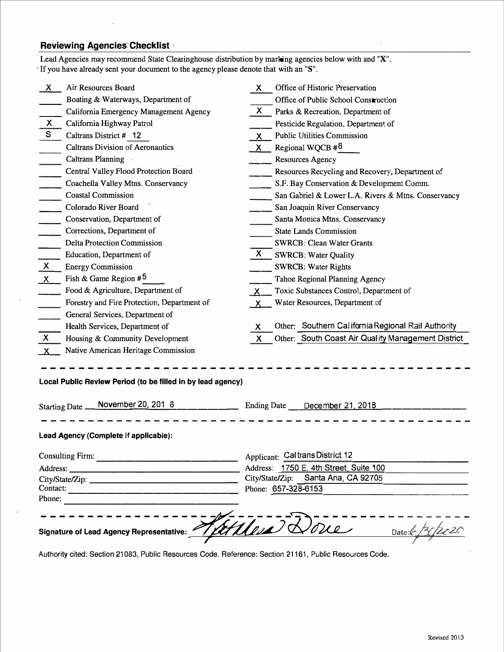# **Reviewing Agencies Checklist**

| Air Resources Board<br><u>X</u>                                                                    | Office of Historic Preservation<br>X                                   |  |  |
|----------------------------------------------------------------------------------------------------|------------------------------------------------------------------------|--|--|
| Boating & Waterways, Department of                                                                 | Office of Public School Construction                                   |  |  |
| California Emergency Management Agency                                                             | X<br>Parks & Recreation, Department of                                 |  |  |
| X<br>California Highway Patrol                                                                     | Pesticide Regulation, Department of                                    |  |  |
| S<br>Caltrans District # 12                                                                        | <b>Public Utilities Commission</b><br>$\mathsf{x}$                     |  |  |
| <b>Caltrans Division of Aeronautics</b>                                                            | Regional WQCB #8<br>$\mathsf{X}$                                       |  |  |
| <b>Caltrans Planning</b>                                                                           | <b>Resources Agency</b>                                                |  |  |
| Central Valley Flood Protection Board                                                              | Resources Recycling and Recovery, Department of                        |  |  |
| Coachella Valley Mtns. Conservancy                                                                 | S.F. Bay Conservation & Development Comm.                              |  |  |
| <b>Coastal Commission</b>                                                                          | San Gabriel & Lower L.A. Rivers & Mtns. Conservancy                    |  |  |
| Colorado River Board                                                                               | San Joaquin River Conservancy                                          |  |  |
| Conservation, Department of                                                                        | Santa Monica Mtns. Conservancy                                         |  |  |
| Corrections, Department of                                                                         | <b>State Lands Commission</b>                                          |  |  |
| <b>Delta Protection Commission</b>                                                                 | <b>SWRCB: Clean Water Grants</b>                                       |  |  |
| Education, Department of                                                                           | X.<br><b>SWRCB: Water Quality</b>                                      |  |  |
| $\boldsymbol{\mathsf{X}}$<br><b>Energy Commission</b>                                              | <b>SWRCB: Water Rights</b>                                             |  |  |
| Fish & Game Region $#^5$<br>$\mathsf{X}$                                                           | Tahoe Regional Planning Agency                                         |  |  |
| Food & Agriculture, Department of                                                                  | Toxic Substances Control, Department of<br>$X_{-}$                     |  |  |
| Forestry and Fire Protection, Department of                                                        | Water Resources, Department of<br>X                                    |  |  |
| General Services, Department of                                                                    |                                                                        |  |  |
| Health Services, Department of                                                                     | Other: Southern California Regional Rail Authority<br>$\mathsf{X}$     |  |  |
| X<br>Housing & Community Development                                                               | Other: South Coast Air Quality Management District<br>$\boldsymbol{X}$ |  |  |
| Native American Heritage Commission                                                                |                                                                        |  |  |
|                                                                                                    |                                                                        |  |  |
| Local Public Review Period (to be filled in by lead agency)<br>November 20, 201 8<br>Starting Date | <b>Ending Date</b><br>December 21, 2018                                |  |  |
| Lead Agency (Complete if applicable):                                                              |                                                                        |  |  |
| <b>Consulting Firm:</b>                                                                            | <b>Applicant: Cal trans District 12</b>                                |  |  |
|                                                                                                    | Address: 1750 E. 4th Street, Suite 100                                 |  |  |
|                                                                                                    | City/State/Zip: Santa Ana, CA 92705                                    |  |  |
| Contact:                                                                                           | Phone: 657-328-6153                                                    |  |  |
| Phone:                                                                                             |                                                                        |  |  |
| Signature of Lead Agency Representative:                                                           | Hiles Done<br>Date: $\epsilon/3$                                       |  |  |

Authority cited: Section 21083, Public Resources Code. Reference: Section 21161, Public Resources Code.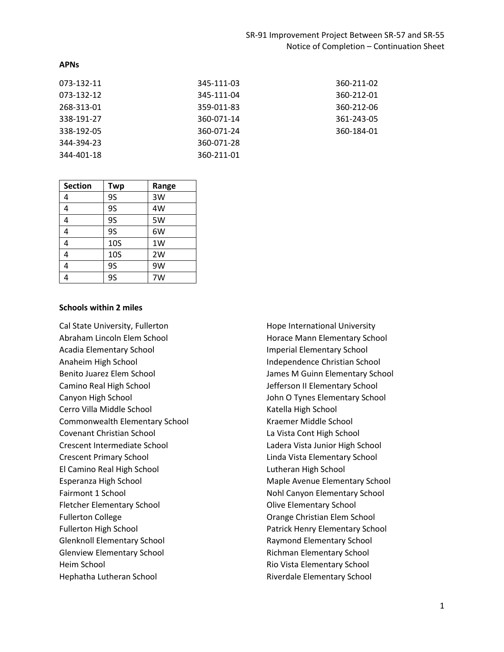360-211-02 360-212-01 360-212-06 361-243-05 360-184-01

#### **APNs**

| 073-132-11 | 345-111-03 |
|------------|------------|
| 073-132-12 | 345-111-04 |
| 268-313-01 | 359-011-83 |
| 338-191-27 | 360-071-14 |
| 338-192-05 | 360-071-24 |
| 344-394-23 | 360-071-28 |
| 344-401-18 | 360-211-01 |

| <b>Section</b> | <b>Twp</b> | Range |
|----------------|------------|-------|
| 4              | 9S         | 3W    |
| 4              | 95         | 4W    |
| 4              | <b>9S</b>  | 5W    |
| 4              | <b>9S</b>  | 6W    |
| 4              | 10S        | 1W    |
| 4              | 10S        | 2W    |
| 4              | <b>9S</b>  | 9W    |
| 4              | 95         | 7W    |

### **Schools within 2 miles**

Cal State University, Fullerton Abraham Lincoln Elem School Acadia Elementary School Anaheim High School Benito Juarez Elem School Camino Real High School Canyon High School Cerro Villa Middle School Commonwealth Elementary School Covenant Christian School Crescent Intermediate School Crescent Primary School El Camino Real High School Esperanza High School Fairmont 1 School Fletcher Elementary School Fullerton College Fullerton High School Glenknoll Elementary School Glenview Elementary School Heim School Hephatha Lutheran School

Hope International University Horace Mann Elementary School Imperial Elementary School Independence Christian School James M Guinn Elementary School Jefferson II Elementary School John O Tynes Elementary School Katella High School Kraemer Middle School La Vista Cont High School Ladera Vista Junior High School Linda Vista Elementary School Lutheran High School Maple Avenue Elementary School Nohl Canyon Elementary School Olive Elementary School Orange Christian Elem School Patrick Henry Elementary School Raymond Elementary School Richman Elementary School Rio Vista Elementary School Riverdale Elementary School